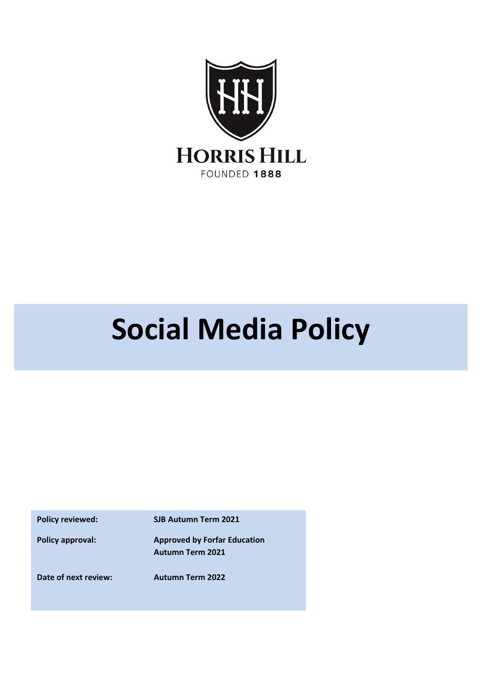

## **Social Media Policy**

**Policy reviewed: SJB Autumn Term 2021**

**Policy approval: Approved by Forfar Education Autumn Term 2021**

**Date of next review: Autumn Term 2022**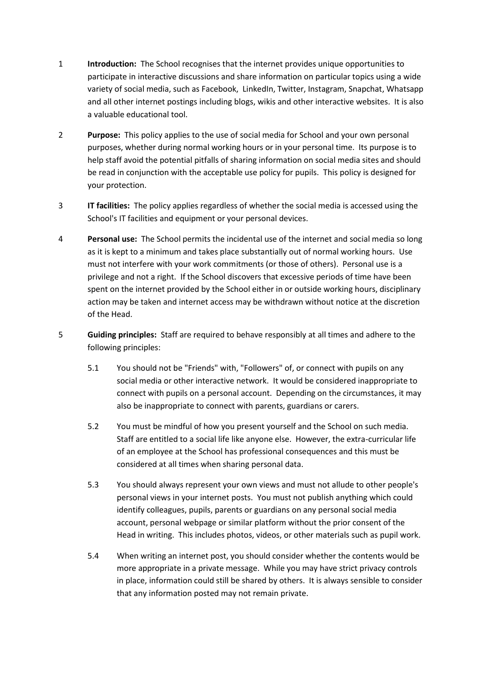- 1 **Introduction:** The School recognises that the internet provides unique opportunities to participate in interactive discussions and share information on particular topics using a wide variety of social media, such as Facebook, LinkedIn, Twitter, Instagram, Snapchat, Whatsapp and all other internet postings including blogs, wikis and other interactive websites. It is also a valuable educational tool.
- 2 **Purpose:** This policy applies to the use of social media for School and your own personal purposes, whether during normal working hours or in your personal time. Its purpose is to help staff avoid the potential pitfalls of sharing information on social media sites and should be read in conjunction with the acceptable use policy for pupils. This policy is designed for your protection.
- 3 **IT facilities:** The policy applies regardless of whether the social media is accessed using the School's IT facilities and equipment or your personal devices.
- 4 **Personal use:** The School permits the incidental use of the internet and social media so long as it is kept to a minimum and takes place substantially out of normal working hours. Use must not interfere with your work commitments (or those of others). Personal use is a privilege and not a right. If the School discovers that excessive periods of time have been spent on the internet provided by the School either in or outside working hours, disciplinary action may be taken and internet access may be withdrawn without notice at the discretion of the Head.
- 5 **Guiding principles:** Staff are required to behave responsibly at all times and adhere to the following principles:
	- 5.1 You should not be "Friends" with, "Followers" of, or connect with pupils on any social media or other interactive network. It would be considered inappropriate to connect with pupils on a personal account. Depending on the circumstances, it may also be inappropriate to connect with parents, guardians or carers.
	- 5.2 You must be mindful of how you present yourself and the School on such media. Staff are entitled to a social life like anyone else. However, the extra-curricular life of an employee at the School has professional consequences and this must be considered at all times when sharing personal data.
	- 5.3 You should always represent your own views and must not allude to other people's personal views in your internet posts. You must not publish anything which could identify colleagues, pupils, parents or guardians on any personal social media account, personal webpage or similar platform without the prior consent of the Head in writing. This includes photos, videos, or other materials such as pupil work.
	- 5.4 When writing an internet post, you should consider whether the contents would be more appropriate in a private message. While you may have strict privacy controls in place, information could still be shared by others. It is always sensible to consider that any information posted may not remain private.